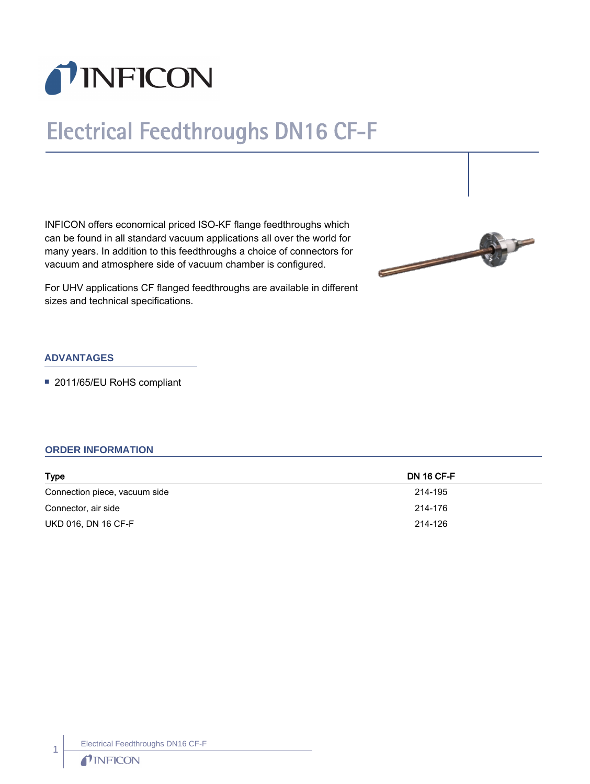

# Electrical Feedthroughs DN16 CF-F

INFICON offers economical priced ISO-KF flange feedthroughs which can be found in all standard vacuum applications all over the world for many years. In addition to this feedthroughs a choice of connectors for vacuum and atmosphere side of vacuum chamber is configured.



For UHV applications CF flanged feedthroughs are available in different sizes and technical specifications.

### **ADVANTAGES**

■ 2011/65/EU RoHS compliant

#### **ORDER INFORMATION**

| <b>Type</b>                   | <b>DN 16 CF-F</b> |
|-------------------------------|-------------------|
| Connection piece, vacuum side | 214-195           |
| Connector, air side           | 214-176           |
| UKD 016, DN 16 CF-F           | 214-126           |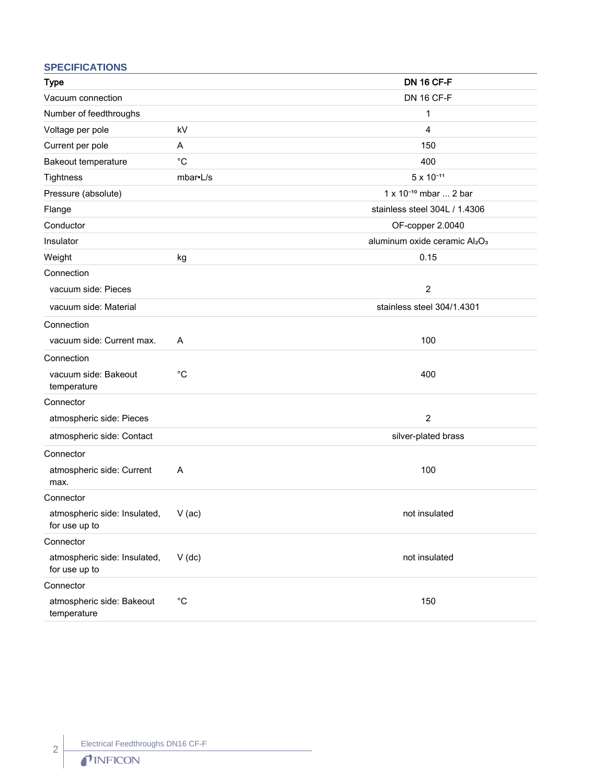## **SPECIFICATIONS**

| <b>Type</b>                                   |                   | <b>DN 16 CF-F</b>                 |
|-----------------------------------------------|-------------------|-----------------------------------|
| Vacuum connection                             |                   | <b>DN 16 CF-F</b>                 |
| Number of feedthroughs                        |                   | 1                                 |
| Voltage per pole                              | kV                | $\overline{4}$                    |
| Current per pole                              | A                 | 150                               |
| Bakeout temperature                           | $^{\circ}C$       | 400                               |
| Tightness                                     | mbar•L/s          | $5 \times 10^{-11}$               |
| Pressure (absolute)                           |                   | 1 x 10 <sup>-10</sup> mbar  2 bar |
| Flange                                        |                   | stainless steel 304L / 1.4306     |
| Conductor                                     |                   | OF-copper 2.0040                  |
| Insulator                                     |                   | aluminum oxide ceramic Al2O3      |
| Weight                                        | kg                | 0.15                              |
| Connection                                    |                   |                                   |
| vacuum side: Pieces                           |                   | $\overline{2}$                    |
| vacuum side: Material                         |                   | stainless steel 304/1.4301        |
| Connection                                    |                   |                                   |
| vacuum side: Current max.                     | A                 | 100                               |
| Connection                                    |                   |                                   |
| vacuum side: Bakeout<br>temperature           | $^{\circ}C$       | 400                               |
| Connector                                     |                   |                                   |
| atmospheric side: Pieces                      |                   | $\overline{2}$                    |
| atmospheric side: Contact                     |                   | silver-plated brass               |
| Connector                                     |                   |                                   |
| atmospheric side: Current<br>max.             | Α                 | 100                               |
| Connector                                     |                   |                                   |
| atmospheric side: Insulated,<br>for use up to | $V$ (ac)          | not insulated                     |
| Connector                                     |                   |                                   |
| atmospheric side: Insulated,<br>for use up to | $V$ (dc)          | not insulated                     |
| Connector                                     |                   |                                   |
| atmospheric side: Bakeout<br>temperature      | $^{\circ}{\rm C}$ | 150                               |